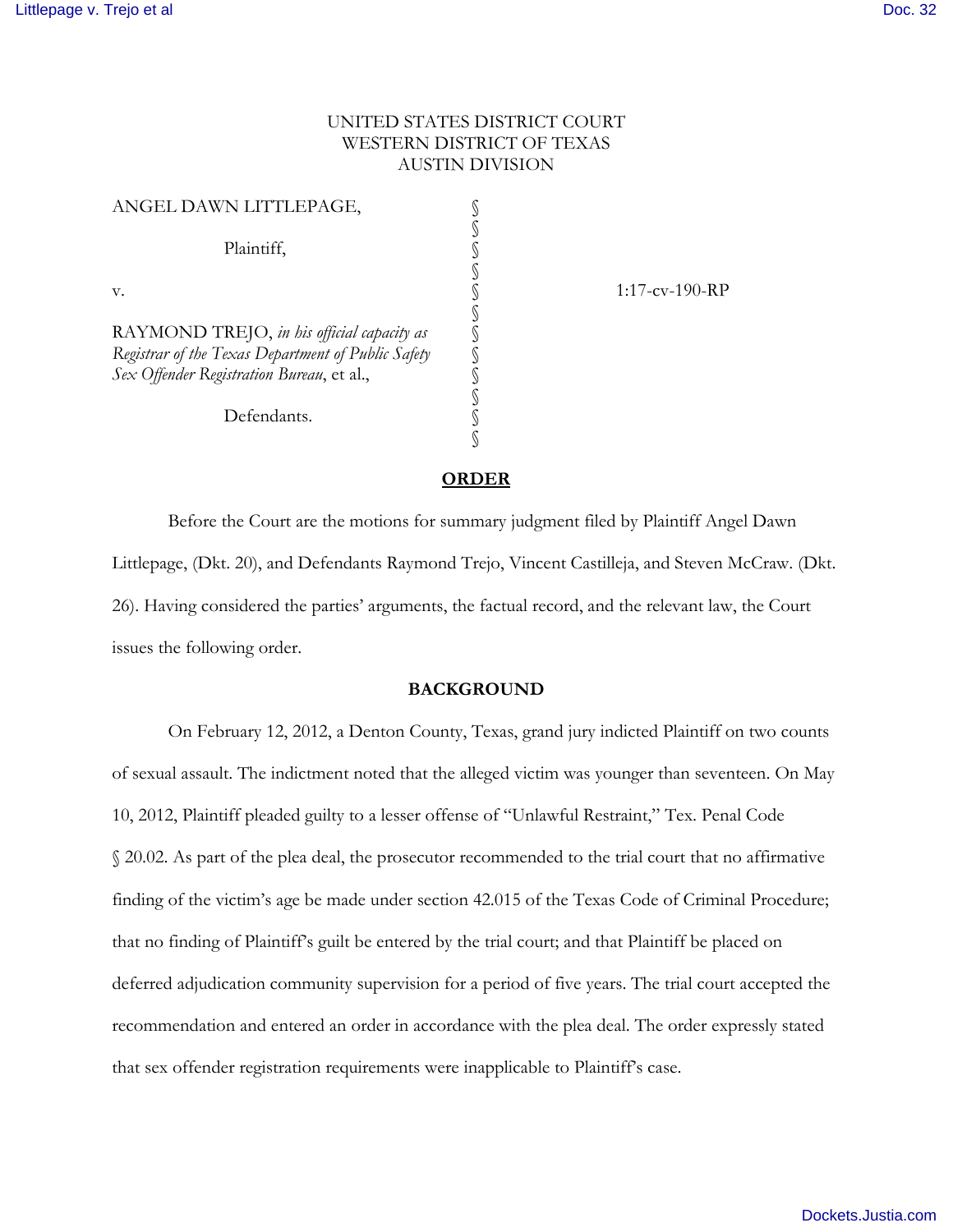# UNITED STATES DISTRICT COURT WESTERN DISTRICT OF TEXAS AUSTIN DIVISION

| ANGEL DAWN LITTLEPAGE,                                                                           |  |
|--------------------------------------------------------------------------------------------------|--|
| Plaintiff,                                                                                       |  |
| v.                                                                                               |  |
| RAYMOND TREJO, in his official capacity as<br>Registrar of the Texas Department of Public Safety |  |
| Sex Offender Registration Bureau, et al.,                                                        |  |
| Defendants.                                                                                      |  |
|                                                                                                  |  |

s<br>
S<br>
S<br>
S<br>
S<br>
S<br>
S<br>
S<br>
S<br>
S<br>
S<br>
S<br>
S<br>
S

## **ORDER**

 Before the Court are the motions for summary judgment filed by Plaintiff Angel Dawn Littlepage, (Dkt. 20), and Defendants Raymond Trejo, Vincent Castilleja, and Steven McCraw. (Dkt. 26). Having considered the parties' arguments, the factual record, and the relevant law, the Court issues the following order.

### **BACKGROUND**

On February 12, 2012, a Denton County, Texas, grand jury indicted Plaintiff on two counts of sexual assault. The indictment noted that the alleged victim was younger than seventeen. On May 10, 2012, Plaintiff pleaded guilty to a lesser offense of "Unlawful Restraint," Tex. Penal Code § 20.02. As part of the plea deal, the prosecutor recommended to the trial court that no affirmative finding of the victim's age be made under section 42.015 of the Texas Code of Criminal Procedure; that no finding of Plaintiff's guilt be entered by the trial court; and that Plaintiff be placed on deferred adjudication community supervision for a period of five years. The trial court accepted the recommendation and entered an order in accordance with the plea deal. The order expressly stated that sex offender registration requirements were inapplicable to Plaintiff's case.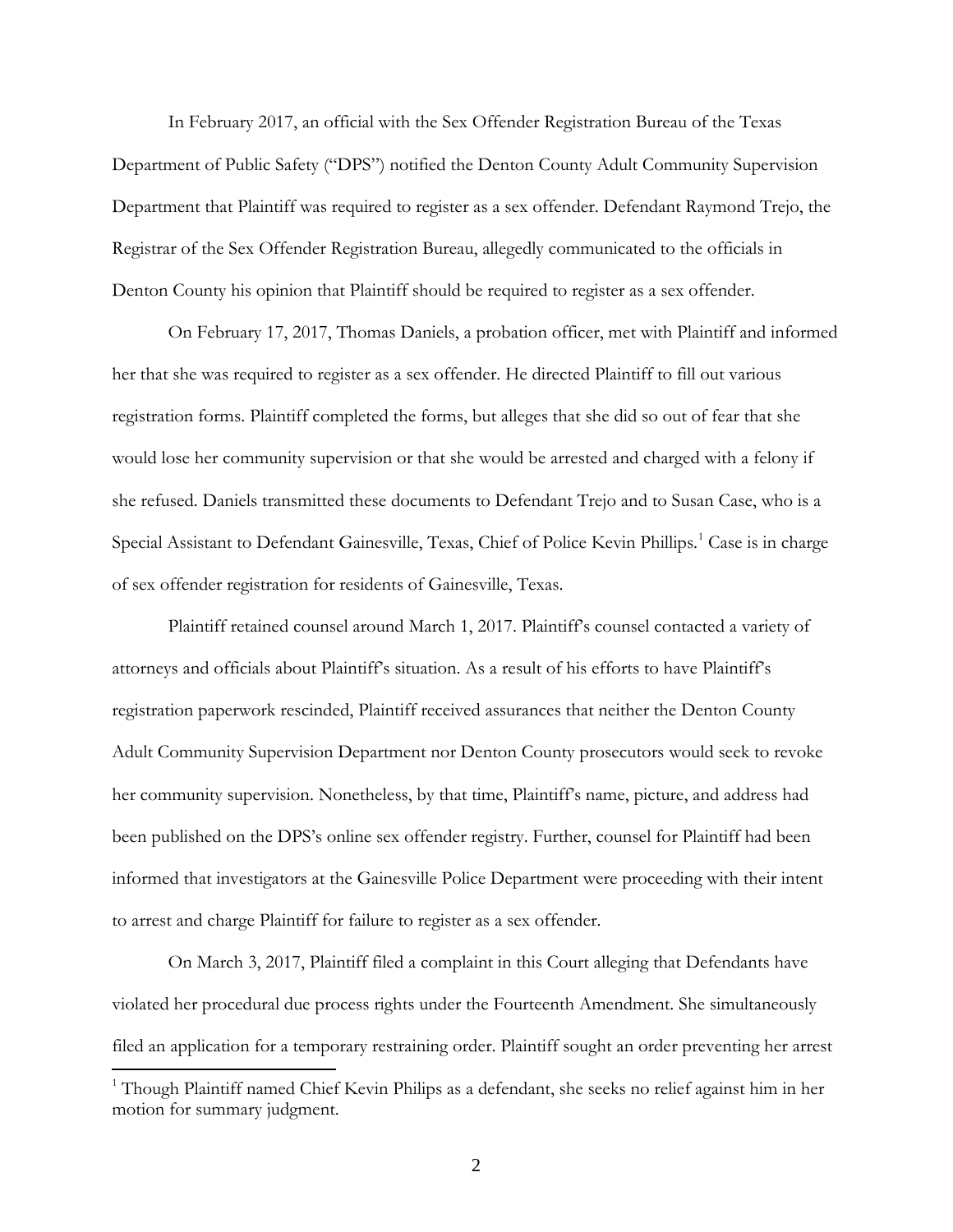In February 2017, an official with the Sex Offender Registration Bureau of the Texas Department of Public Safety ("DPS") notified the Denton County Adult Community Supervision Department that Plaintiff was required to register as a sex offender. Defendant Raymond Trejo, the Registrar of the Sex Offender Registration Bureau, allegedly communicated to the officials in Denton County his opinion that Plaintiff should be required to register as a sex offender.

 On February 17, 2017, Thomas Daniels, a probation officer, met with Plaintiff and informed her that she was required to register as a sex offender. He directed Plaintiff to fill out various registration forms. Plaintiff completed the forms, but alleges that she did so out of fear that she would lose her community supervision or that she would be arrested and charged with a felony if she refused. Daniels transmitted these documents to Defendant Trejo and to Susan Case, who is a Special Assistant to Defendant Gainesville, Texas, Chief of Police Kevin Phillips.<sup>[1](#page-1-0)</sup> Case is in charge of sex offender registration for residents of Gainesville, Texas.

 Plaintiff retained counsel around March 1, 2017. Plaintiff's counsel contacted a variety of attorneys and officials about Plaintiff's situation. As a result of his efforts to have Plaintiff's registration paperwork rescinded, Plaintiff received assurances that neither the Denton County Adult Community Supervision Department nor Denton County prosecutors would seek to revoke her community supervision. Nonetheless, by that time, Plaintiff's name, picture, and address had been published on the DPS's online sex offender registry. Further, counsel for Plaintiff had been informed that investigators at the Gainesville Police Department were proceeding with their intent to arrest and charge Plaintiff for failure to register as a sex offender.

On March 3, 2017, Plaintiff filed a complaint in this Court alleging that Defendants have violated her procedural due process rights under the Fourteenth Amendment. She simultaneously filed an application for a temporary restraining order. Plaintiff sought an order preventing her arrest l

<span id="page-1-0"></span><sup>&</sup>lt;sup>1</sup> Though Plaintiff named Chief Kevin Philips as a defendant, she seeks no relief against him in her motion for summary judgment.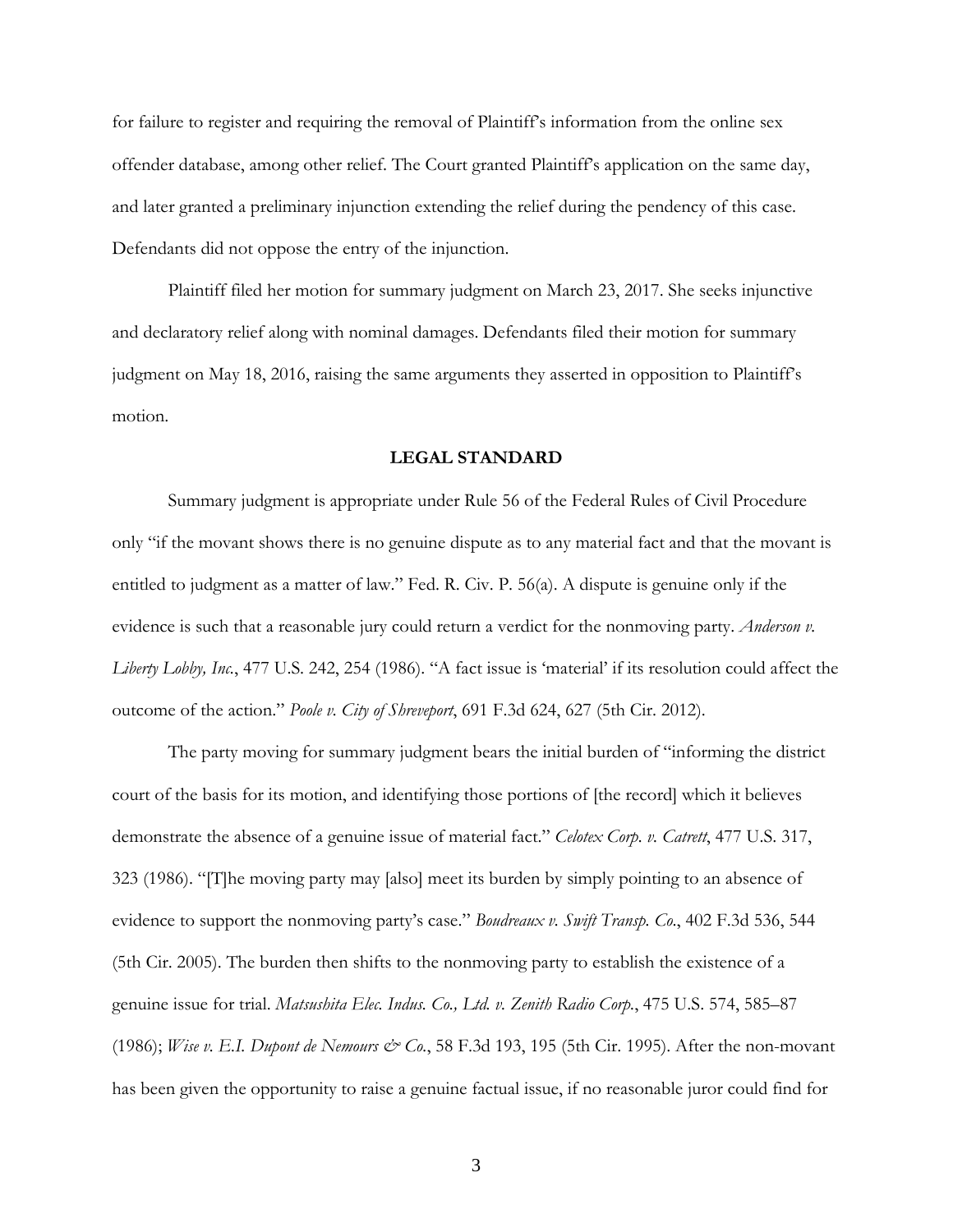for failure to register and requiring the removal of Plaintiff's information from the online sex offender database, among other relief. The Court granted Plaintiff's application on the same day, and later granted a preliminary injunction extending the relief during the pendency of this case. Defendants did not oppose the entry of the injunction.

 Plaintiff filed her motion for summary judgment on March 23, 2017. She seeks injunctive and declaratory relief along with nominal damages. Defendants filed their motion for summary judgment on May 18, 2016, raising the same arguments they asserted in opposition to Plaintiff's motion.

# **LEGAL STANDARD**

 Summary judgment is appropriate under Rule 56 of the Federal Rules of Civil Procedure only "if the movant shows there is no genuine dispute as to any material fact and that the movant is entitled to judgment as a matter of law." Fed. R. Civ. P. 56(a). A dispute is genuine only if the evidence is such that a reasonable jury could return a verdict for the nonmoving party. *Anderson v. Liberty Lobby, Inc.*, 477 U.S. 242, 254 (1986). "A fact issue is 'material' if its resolution could affect the outcome of the action." *Poole v. City of Shreveport*, 691 F.3d 624, 627 (5th Cir. 2012).

 The party moving for summary judgment bears the initial burden of "informing the district court of the basis for its motion, and identifying those portions of [the record] which it believes demonstrate the absence of a genuine issue of material fact." *Celotex Corp. v. Catrett*, 477 U.S. 317, 323 (1986). "[T]he moving party may [also] meet its burden by simply pointing to an absence of evidence to support the nonmoving party's case." *Boudreaux v. Swift Transp. Co*., 402 F.3d 536, 544 (5th Cir. 2005). The burden then shifts to the nonmoving party to establish the existence of a genuine issue for trial. *Matsushita Elec. Indus. Co., Ltd. v. Zenith Radio Corp.*, 475 U.S. 574, 585–87 (1986); *Wise v. E.I. Dupont de Nemours & Co.*, 58 F.3d 193, 195 (5th Cir. 1995). After the non-movant has been given the opportunity to raise a genuine factual issue, if no reasonable juror could find for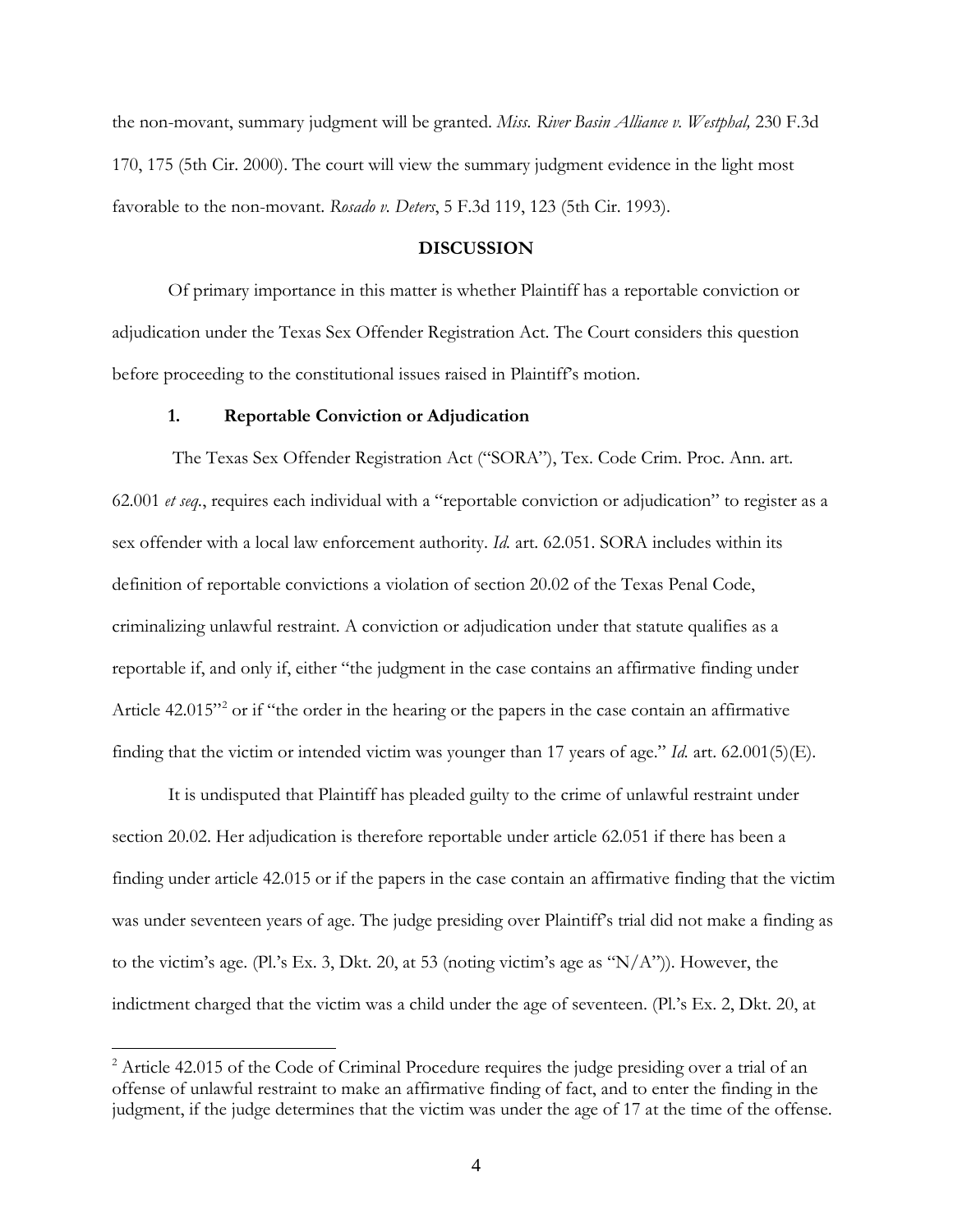the non-movant, summary judgment will be granted. *Miss. River Basin Alliance v. Westphal,* 230 F.3d 170, 175 (5th Cir. 2000). The court will view the summary judgment evidence in the light most favorable to the non-movant. *Rosado v. Deters*, 5 F.3d 119, 123 (5th Cir. 1993).

## **DISCUSSION**

Of primary importance in this matter is whether Plaintiff has a reportable conviction or adjudication under the Texas Sex Offender Registration Act. The Court considers this question before proceeding to the constitutional issues raised in Plaintiff's motion.

#### **1. Reportable Conviction or Adjudication**

 $\overline{a}$ 

The Texas Sex Offender Registration Act ("SORA"), Tex. Code Crim. Proc. Ann. art. 62.001 *et seq.*, requires each individual with a "reportable conviction or adjudication" to register as a sex offender with a local law enforcement authority. *Id.* art. 62.051. SORA includes within its definition of reportable convictions a violation of section 20.02 of the Texas Penal Code, criminalizing unlawful restraint. A conviction or adjudication under that statute qualifies as a reportable if, and only if, either "the judgment in the case contains an affirmative finding under Article 4[2](#page-3-0).015"<sup>2</sup> or if "the order in the hearing or the papers in the case contain an affirmative finding that the victim or intended victim was younger than 17 years of age." *Id.* art. 62.001(5)(E).

 It is undisputed that Plaintiff has pleaded guilty to the crime of unlawful restraint under section 20.02. Her adjudication is therefore reportable under article 62.051 if there has been a finding under article 42.015 or if the papers in the case contain an affirmative finding that the victim was under seventeen years of age. The judge presiding over Plaintiff's trial did not make a finding as to the victim's age. (Pl.'s Ex. 3, Dkt. 20, at 53 (noting victim's age as " $N/A$ ")). However, the indictment charged that the victim was a child under the age of seventeen. (Pl.'s Ex. 2, Dkt. 20, at

<span id="page-3-0"></span><sup>&</sup>lt;sup>2</sup> Article 42.015 of the Code of Criminal Procedure requires the judge presiding over a trial of an offense of unlawful restraint to make an affirmative finding of fact, and to enter the finding in the judgment, if the judge determines that the victim was under the age of 17 at the time of the offense.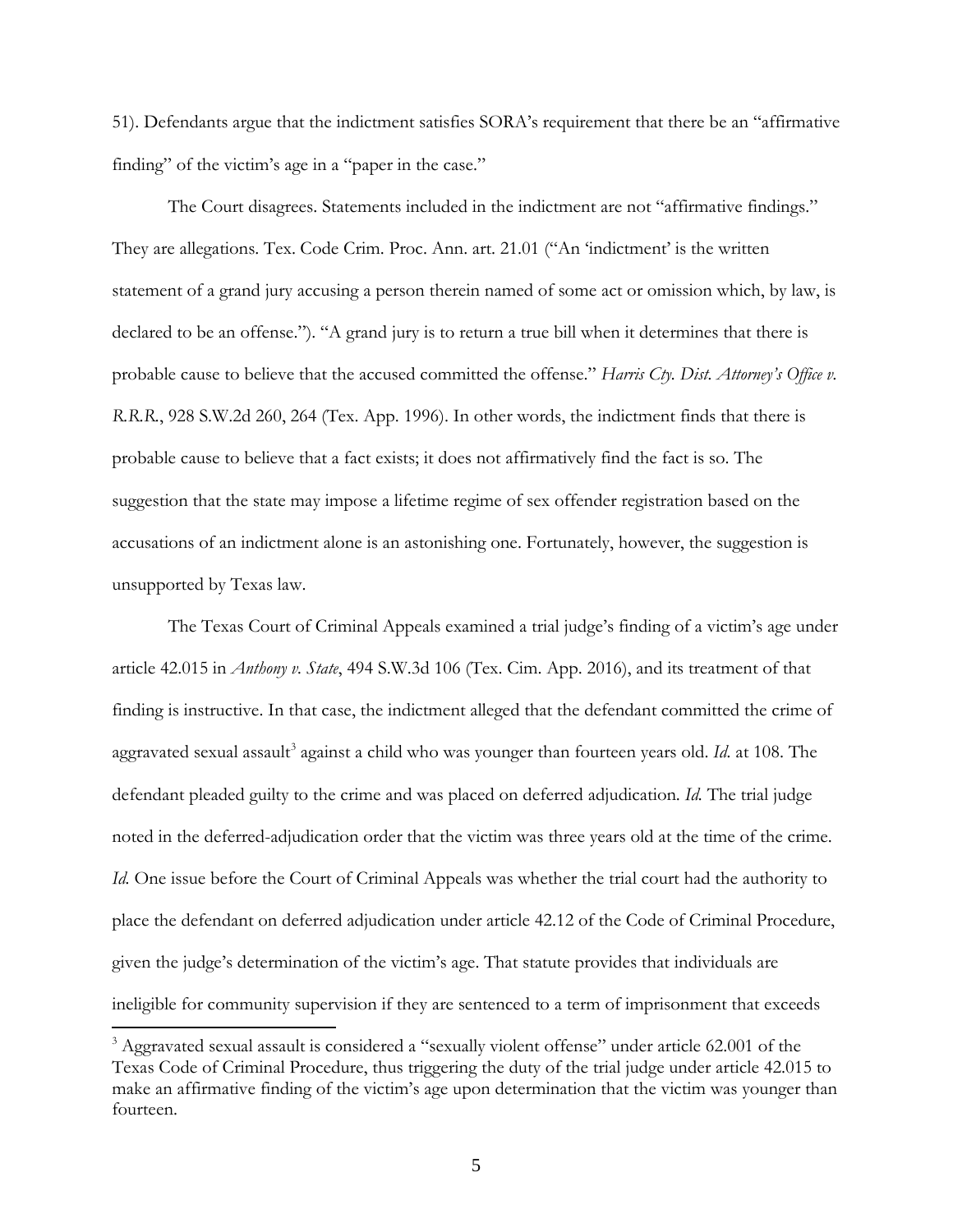51). Defendants argue that the indictment satisfies SORA's requirement that there be an "affirmative finding" of the victim's age in a "paper in the case."

 The Court disagrees. Statements included in the indictment are not "affirmative findings." They are allegations. Tex. Code Crim. Proc. Ann. art. 21.01 ("An 'indictment' is the written statement of a grand jury accusing a person therein named of some act or omission which, by law, is declared to be an offense."). "A grand jury is to return a true bill when it determines that there is probable cause to believe that the accused committed the offense." *Harris Cty. Dist. Attorney's Office v. R.R.R.*, 928 S.W.2d 260, 264 (Tex. App. 1996). In other words, the indictment finds that there is probable cause to believe that a fact exists; it does not affirmatively find the fact is so. The suggestion that the state may impose a lifetime regime of sex offender registration based on the accusations of an indictment alone is an astonishing one. Fortunately, however, the suggestion is unsupported by Texas law.

The Texas Court of Criminal Appeals examined a trial judge's finding of a victim's age under article 42.015 in *Anthony v. State*, 494 S.W.3d 106 (Tex. Cim. App. 2016), and its treatment of that finding is instructive. In that case, the indictment alleged that the defendant committed the crime of aggravated sexual assault<sup>[3](#page-4-0)</sup> against a child who was younger than fourteen years old. *Id*. at 108. The defendant pleaded guilty to the crime and was placed on deferred adjudication. *Id.* The trial judge noted in the deferred-adjudication order that the victim was three years old at the time of the crime. *Id.* One issue before the Court of Criminal Appeals was whether the trial court had the authority to place the defendant on deferred adjudication under article 42.12 of the Code of Criminal Procedure, given the judge's determination of the victim's age. That statute provides that individuals are ineligible for community supervision if they are sentenced to a term of imprisonment that exceeds

 $\overline{a}$ 

<span id="page-4-0"></span><sup>&</sup>lt;sup>3</sup> Aggravated sexual assault is considered a "sexually violent offense" under article 62.001 of the Texas Code of Criminal Procedure, thus triggering the duty of the trial judge under article 42.015 to make an affirmative finding of the victim's age upon determination that the victim was younger than fourteen.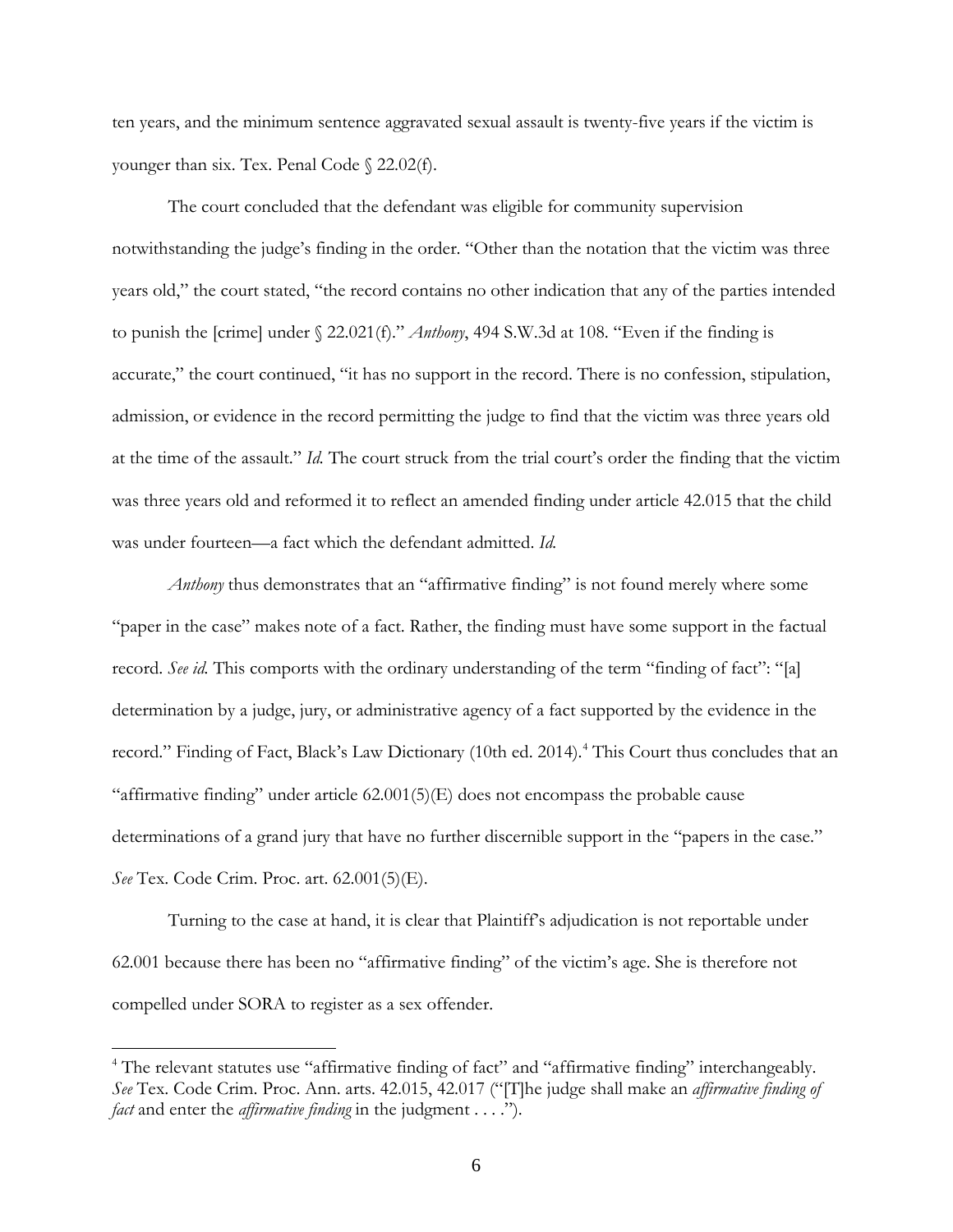ten years, and the minimum sentence aggravated sexual assault is twenty-five years if the victim is younger than six. Tex. Penal Code § 22.02(f).

 The court concluded that the defendant was eligible for community supervision notwithstanding the judge's finding in the order. "Other than the notation that the victim was three years old," the court stated, "the record contains no other indication that any of the parties intended to punish the [crime] under § 22.021(f)." *Anthony*, 494 S.W.3d at 108. "Even if the finding is accurate," the court continued, "it has no support in the record. There is no confession, stipulation, admission, or evidence in the record permitting the judge to find that the victim was three years old at the time of the assault." *Id.* The court struck from the trial court's order the finding that the victim was three years old and reformed it to reflect an amended finding under article 42.015 that the child was under fourteen—a fact which the defendant admitted. *Id.*

*Anthony* thus demonstrates that an "affirmative finding" is not found merely where some "paper in the case" makes note of a fact. Rather, the finding must have some support in the factual record. *See id.* This comports with the ordinary understanding of the term "finding of fact": "[a] determination by a judge, jury, or administrative agency of a fact supported by the evidence in the record." Finding of Fact, Black's Law Dictionary (10th ed. 2014). [4](#page-5-0) This Court thus concludes that an "affirmative finding" under article 62.001(5)(E) does not encompass the probable cause determinations of a grand jury that have no further discernible support in the "papers in the case." *See* Tex. Code Crim. Proc. art. 62.001(5)(E).

Turning to the case at hand, it is clear that Plaintiff's adjudication is not reportable under 62.001 because there has been no "affirmative finding" of the victim's age. She is therefore not compelled under SORA to register as a sex offender.

 $\overline{a}$ 

<span id="page-5-0"></span><sup>&</sup>lt;sup>4</sup> The relevant statutes use "affirmative finding of fact" and "affirmative finding" interchangeably. *See* Tex. Code Crim. Proc. Ann. arts. 42.015, 42.017 ("[T]he judge shall make an *affirmative finding of fact* and enter the *affirmative finding* in the judgment . . . .").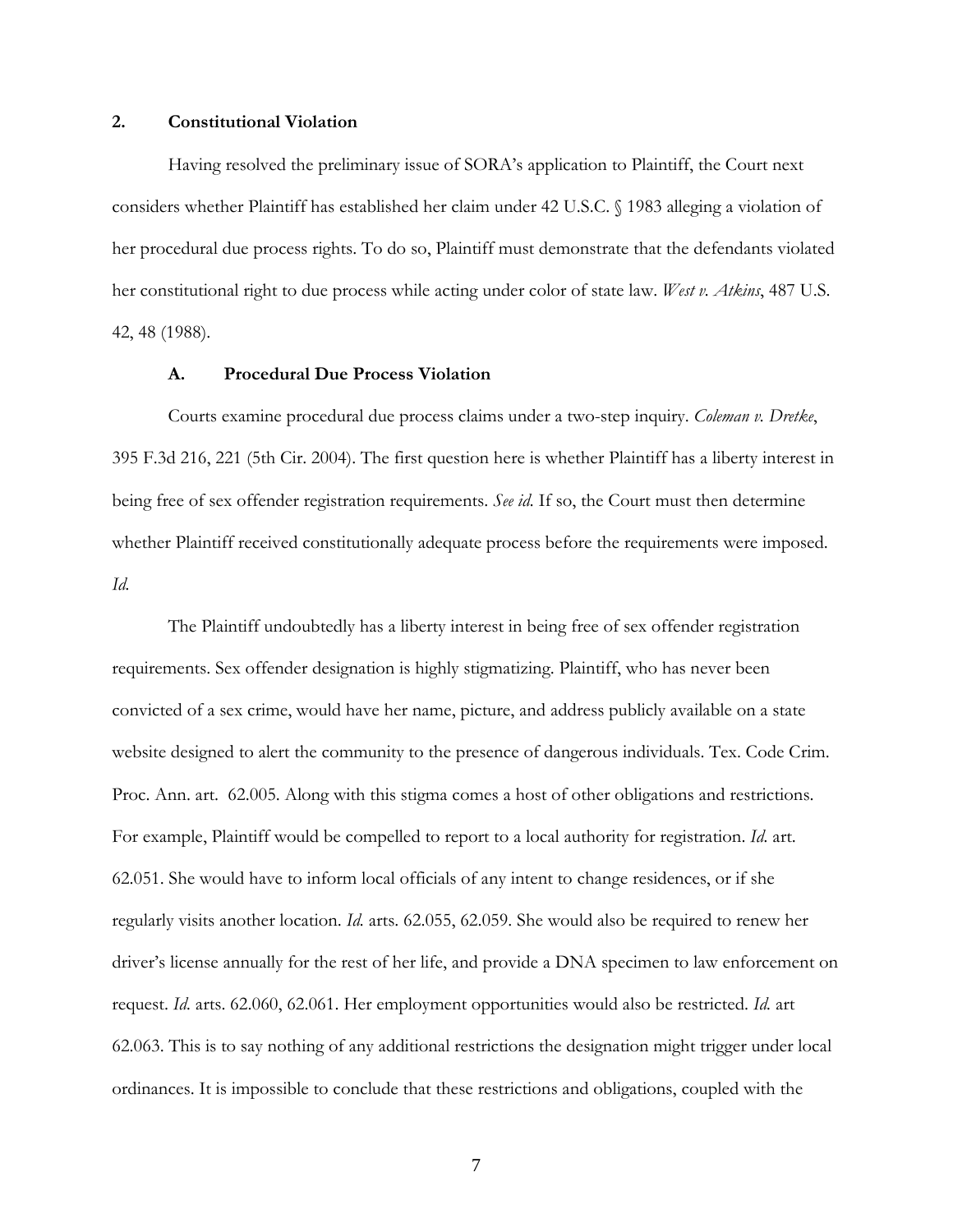### **2. Constitutional Violation**

 Having resolved the preliminary issue of SORA's application to Plaintiff, the Court next considers whether Plaintiff has established her claim under 42 U.S.C. § 1983 alleging a violation of her procedural due process rights. To do so, Plaintiff must demonstrate that the defendants violated her constitutional right to due process while acting under color of state law. *West v. Atkins*, 487 U.S. 42, 48 (1988).

### **A. Procedural Due Process Violation**

 Courts examine procedural due process claims under a two-step inquiry. *Coleman v. Dretke*, 395 F.3d 216, 221 (5th Cir. 2004). The first question here is whether Plaintiff has a liberty interest in being free of sex offender registration requirements. *See id.* If so, the Court must then determine whether Plaintiff received constitutionally adequate process before the requirements were imposed. *Id.*

 The Plaintiff undoubtedly has a liberty interest in being free of sex offender registration requirements. Sex offender designation is highly stigmatizing. Plaintiff, who has never been convicted of a sex crime, would have her name, picture, and address publicly available on a state website designed to alert the community to the presence of dangerous individuals. Tex. Code Crim. Proc. Ann. art. 62.005. Along with this stigma comes a host of other obligations and restrictions. For example, Plaintiff would be compelled to report to a local authority for registration. *Id.* art. 62.051. She would have to inform local officials of any intent to change residences, or if she regularly visits another location. *Id.* arts. 62.055, 62.059. She would also be required to renew her driver's license annually for the rest of her life, and provide a DNA specimen to law enforcement on request. *Id.* arts. 62.060, 62.061. Her employment opportunities would also be restricted. *Id.* art 62.063. This is to say nothing of any additional restrictions the designation might trigger under local ordinances. It is impossible to conclude that these restrictions and obligations, coupled with the

7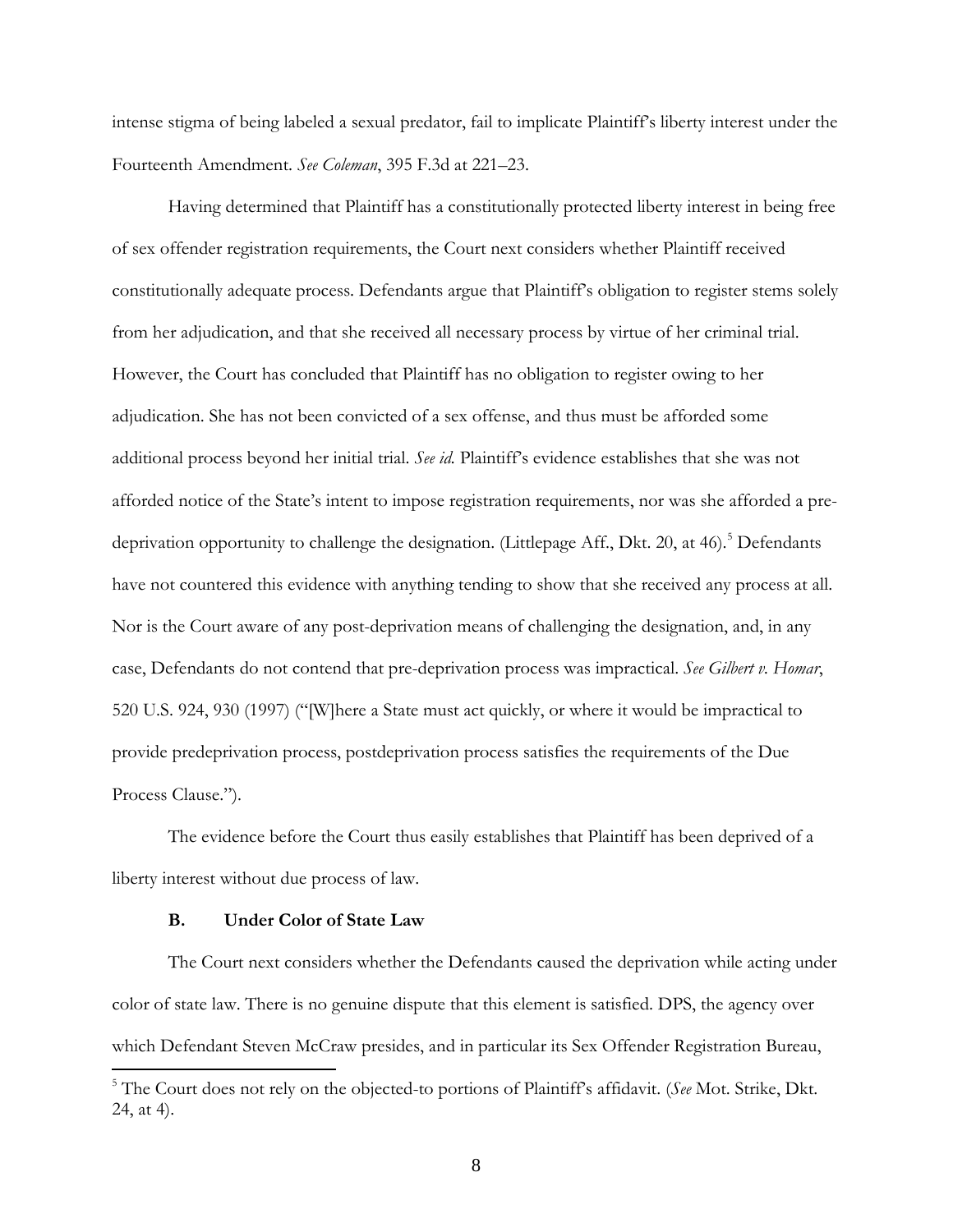intense stigma of being labeled a sexual predator, fail to implicate Plaintiff's liberty interest under the Fourteenth Amendment. *See Coleman*, 395 F.3d at 221–23.

 Having determined that Plaintiff has a constitutionally protected liberty interest in being free of sex offender registration requirements, the Court next considers whether Plaintiff received constitutionally adequate process. Defendants argue that Plaintiff's obligation to register stems solely from her adjudication, and that she received all necessary process by virtue of her criminal trial. However, the Court has concluded that Plaintiff has no obligation to register owing to her adjudication. She has not been convicted of a sex offense, and thus must be afforded some additional process beyond her initial trial. *See id.* Plaintiff's evidence establishes that she was not afforded notice of the State's intent to impose registration requirements, nor was she afforded a pre-deprivation opportunity to challenge the designation. (Littlepage Aff., Dkt. 20, at 46).<sup>[5](#page-7-0)</sup> Defendants have not countered this evidence with anything tending to show that she received any process at all. Nor is the Court aware of any post-deprivation means of challenging the designation, and, in any case, Defendants do not contend that pre-deprivation process was impractical. *See Gilbert v. Homar*, 520 U.S. 924, 930 (1997) ("[W]here a State must act quickly, or where it would be impractical to provide predeprivation process, postdeprivation process satisfies the requirements of the Due Process Clause.").

The evidence before the Court thus easily establishes that Plaintiff has been deprived of a liberty interest without due process of law.

### **B. Under Color of State Law**

 The Court next considers whether the Defendants caused the deprivation while acting under color of state law. There is no genuine dispute that this element is satisfied. DPS, the agency over which Defendant Steven McCraw presides, and in particular its Sex Offender Registration Bureau, l

<span id="page-7-0"></span><sup>5</sup> The Court does not rely on the objected-to portions of Plaintiff's affidavit. (*See* Mot. Strike, Dkt. 24, at 4).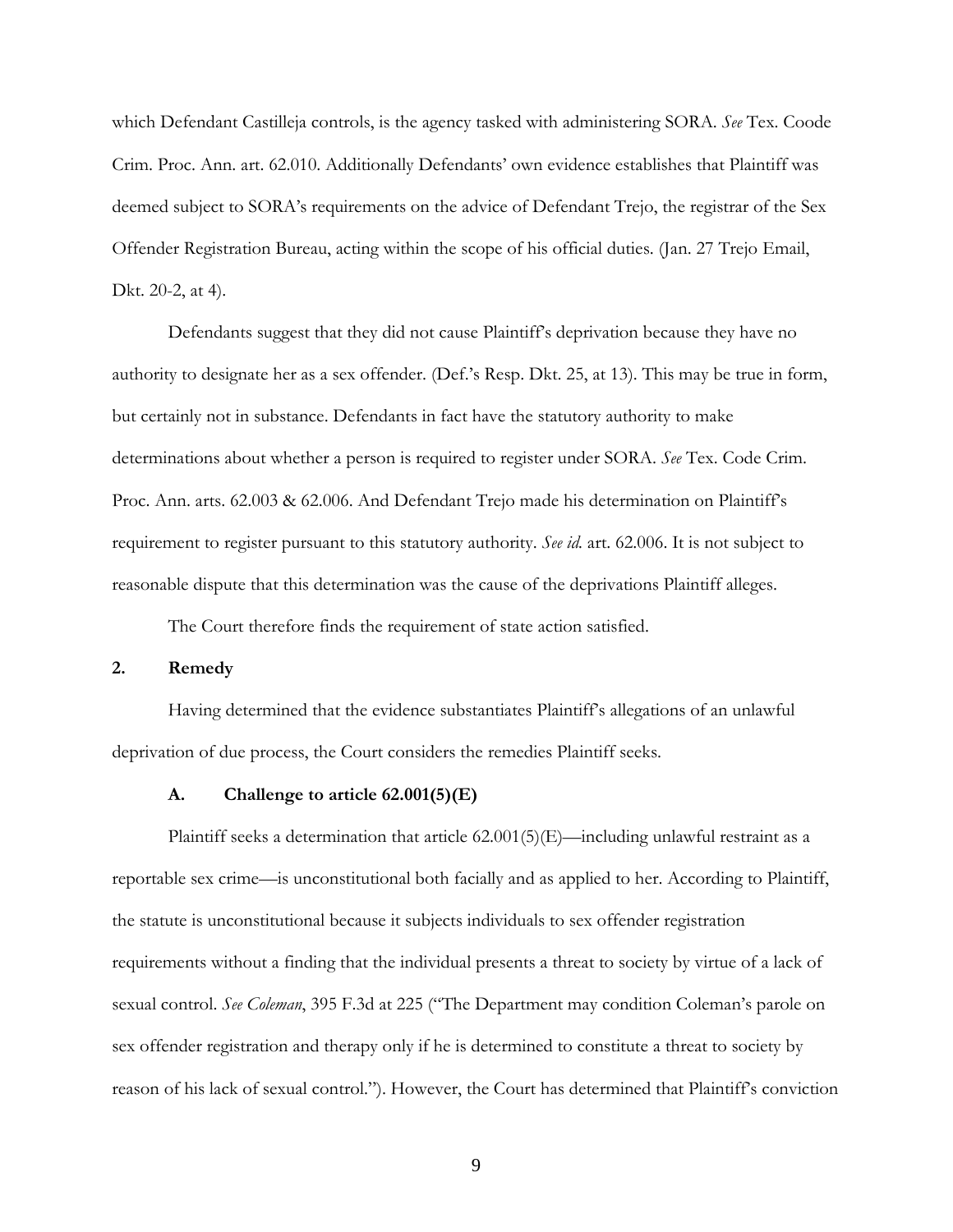which Defendant Castilleja controls, is the agency tasked with administering SORA. *See* Tex. Coode Crim. Proc. Ann. art. 62.010. Additionally Defendants' own evidence establishes that Plaintiff was deemed subject to SORA's requirements on the advice of Defendant Trejo, the registrar of the Sex Offender Registration Bureau, acting within the scope of his official duties. (Jan. 27 Trejo Email, Dkt. 20-2, at 4).

 Defendants suggest that they did not cause Plaintiff's deprivation because they have no authority to designate her as a sex offender. (Def.'s Resp. Dkt. 25, at 13). This may be true in form, but certainly not in substance. Defendants in fact have the statutory authority to make determinations about whether a person is required to register under SORA. *See* Tex. Code Crim. Proc. Ann. arts. 62.003 & 62.006. And Defendant Trejo made his determination on Plaintiff's requirement to register pursuant to this statutory authority. *See id.* art. 62.006. It is not subject to reasonable dispute that this determination was the cause of the deprivations Plaintiff alleges.

The Court therefore finds the requirement of state action satisfied.

# **2. Remedy**

Having determined that the evidence substantiates Plaintiff's allegations of an unlawful deprivation of due process, the Court considers the remedies Plaintiff seeks.

# **A. Challenge to article 62.001(5)(E)**

Plaintiff seeks a determination that article  $(62.001(5)(E)$ —including unlawful restraint as a reportable sex crime—is unconstitutional both facially and as applied to her. According to Plaintiff, the statute is unconstitutional because it subjects individuals to sex offender registration requirements without a finding that the individual presents a threat to society by virtue of a lack of sexual control. *See Coleman*, 395 F.3d at 225 ("The Department may condition Coleman's parole on sex offender registration and therapy only if he is determined to constitute a threat to society by reason of his lack of sexual control."). However, the Court has determined that Plaintiff's conviction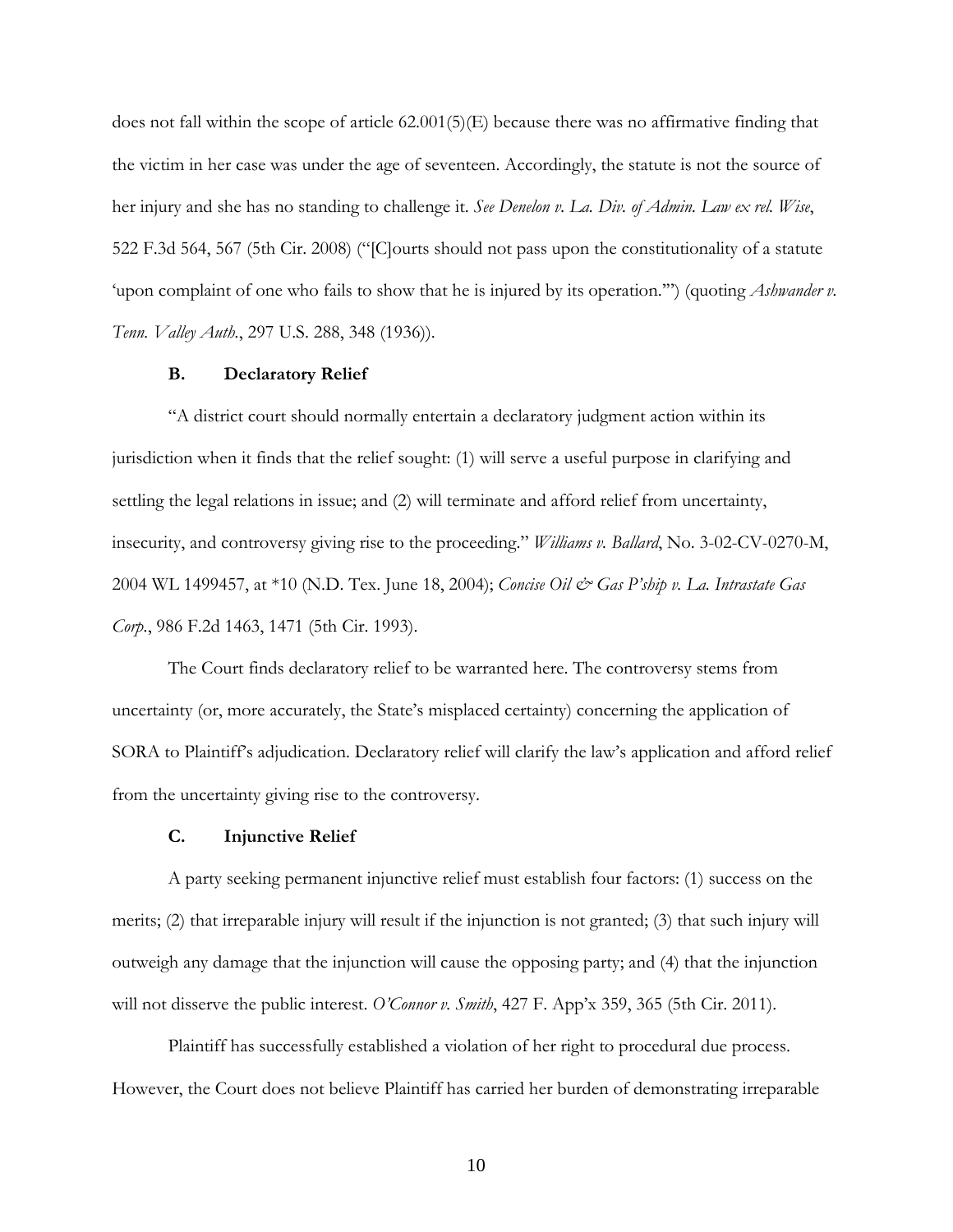does not fall within the scope of article  $(62.001(5)(E)$  because there was no affirmative finding that the victim in her case was under the age of seventeen. Accordingly, the statute is not the source of her injury and she has no standing to challenge it. *See Denelon v. La. Div. of Admin. Law ex rel. Wise*, 522 F.3d 564, 567 (5th Cir. 2008) ("[C]ourts should not pass upon the constitutionality of a statute 'upon complaint of one who fails to show that he is injured by its operation.'") (quoting *Ashwander v. Tenn. Valley Auth.*, 297 U.S. 288, 348 (1936)).

### **B. Declaratory Relief**

 "A district court should normally entertain a declaratory judgment action within its jurisdiction when it finds that the relief sought: (1) will serve a useful purpose in clarifying and settling the legal relations in issue; and (2) will terminate and afford relief from uncertainty, insecurity, and controversy giving rise to the proceeding." *Williams v. Ballard*, No. 3-02-CV-0270-M, 2004 WL 1499457, at \*10 (N.D. Tex. June 18, 2004); *Concise Oil & Gas P'ship v. La. Intrastate Gas Corp.*, 986 F.2d 1463, 1471 (5th Cir. 1993).

The Court finds declaratory relief to be warranted here. The controversy stems from uncertainty (or, more accurately, the State's misplaced certainty) concerning the application of SORA to Plaintiff's adjudication. Declaratory relief will clarify the law's application and afford relief from the uncertainty giving rise to the controversy.

## **C. Injunctive Relief**

A party seeking permanent injunctive relief must establish four factors: (1) success on the merits; (2) that irreparable injury will result if the injunction is not granted; (3) that such injury will outweigh any damage that the injunction will cause the opposing party; and (4) that the injunction will not disserve the public interest. *O'Connor v. Smith*, 427 F. App'x 359, 365 (5th Cir. 2011).

 Plaintiff has successfully established a violation of her right to procedural due process. However, the Court does not believe Plaintiff has carried her burden of demonstrating irreparable

10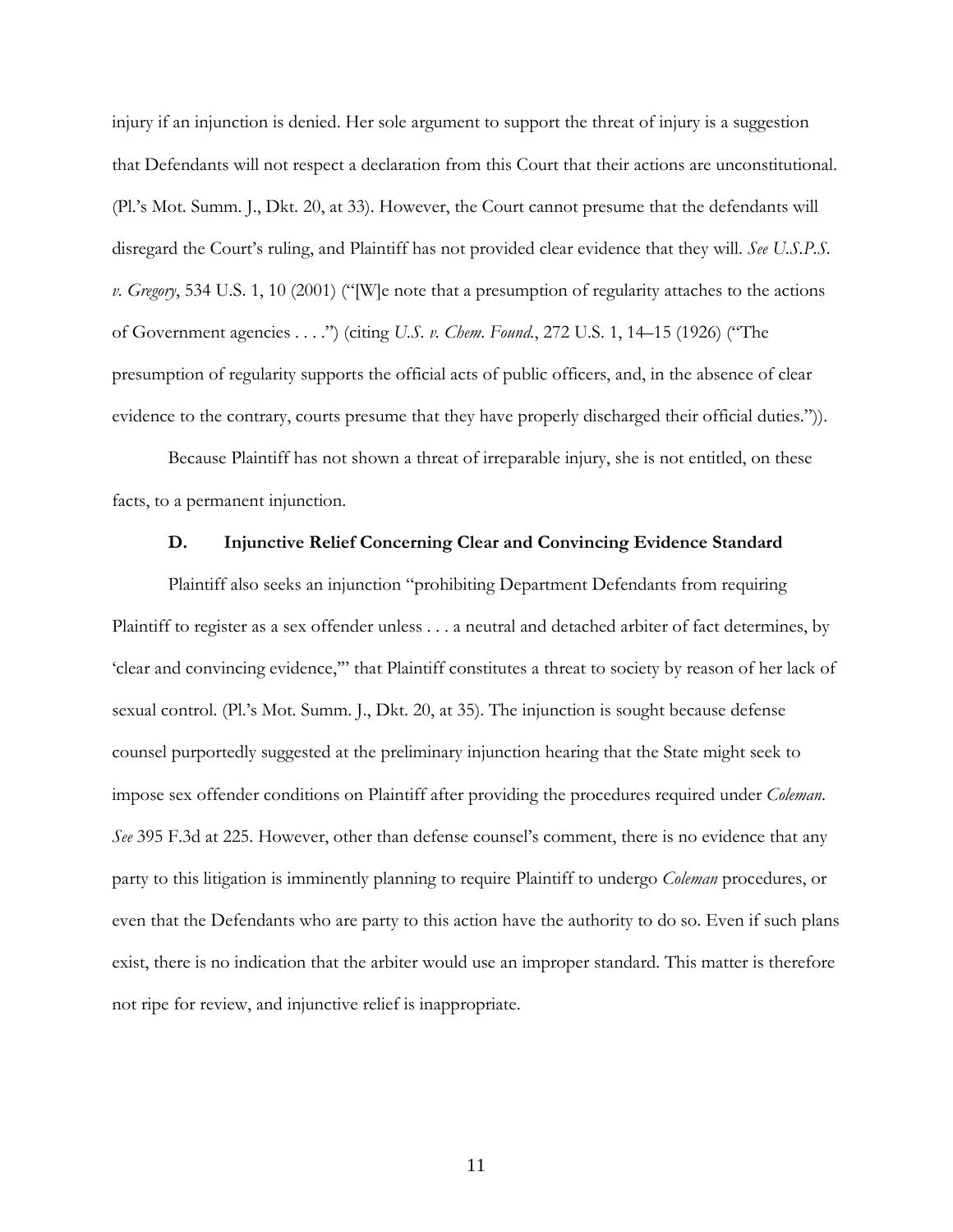injury if an injunction is denied. Her sole argument to support the threat of injury is a suggestion that Defendants will not respect a declaration from this Court that their actions are unconstitutional. (Pl.'s Mot. Summ. J., Dkt. 20, at 33). However, the Court cannot presume that the defendants will disregard the Court's ruling, and Plaintiff has not provided clear evidence that they will. *See U.S.P.S. v. Gregory*, 534 U.S. 1, 10 (2001) ("[W]e note that a presumption of regularity attaches to the actions of Government agencies . . . .") (citing *U.S. v. Chem. Found.*, 272 U.S. 1, 14–15 (1926) ("The presumption of regularity supports the official acts of public officers, and, in the absence of clear evidence to the contrary, courts presume that they have properly discharged their official duties.")).

 Because Plaintiff has not shown a threat of irreparable injury, she is not entitled, on these facts, to a permanent injunction.

## **D. Injunctive Relief Concerning Clear and Convincing Evidence Standard**

Plaintiff also seeks an injunction "prohibiting Department Defendants from requiring Plaintiff to register as a sex offender unless . . . a neutral and detached arbiter of fact determines, by 'clear and convincing evidence,'" that Plaintiff constitutes a threat to society by reason of her lack of sexual control. (Pl.'s Mot. Summ. J., Dkt. 20, at 35). The injunction is sought because defense counsel purportedly suggested at the preliminary injunction hearing that the State might seek to impose sex offender conditions on Plaintiff after providing the procedures required under *Coleman*. *See* 395 F.3d at 225. However, other than defense counsel's comment, there is no evidence that any party to this litigation is imminently planning to require Plaintiff to undergo *Coleman* procedures, or even that the Defendants who are party to this action have the authority to do so. Even if such plans exist, there is no indication that the arbiter would use an improper standard. This matter is therefore not ripe for review, and injunctive relief is inappropriate.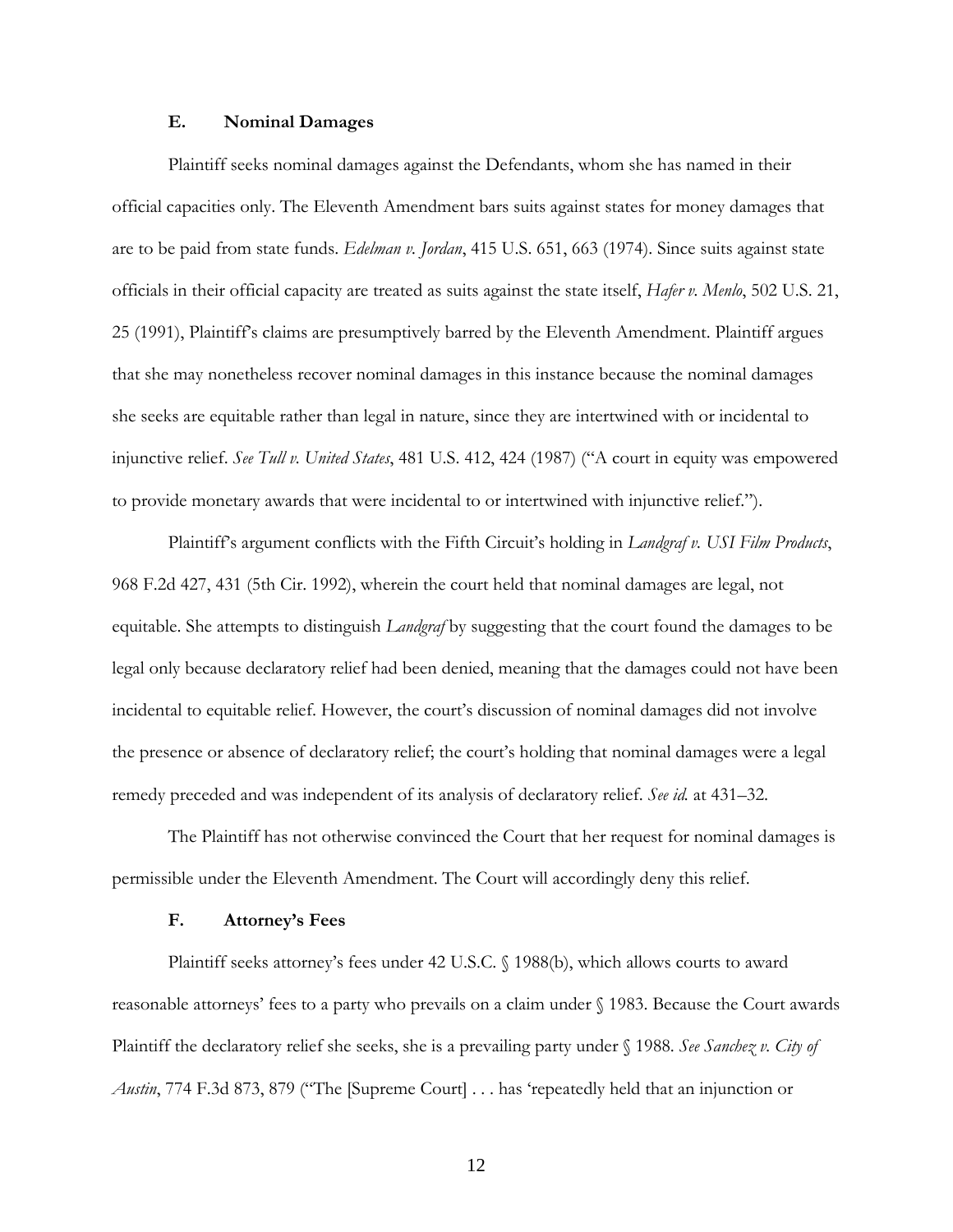## **E. Nominal Damages**

Plaintiff seeks nominal damages against the Defendants, whom she has named in their official capacities only. The Eleventh Amendment bars suits against states for money damages that are to be paid from state funds. *Edelman v. Jordan*, 415 U.S. 651, 663 (1974). Since suits against state officials in their official capacity are treated as suits against the state itself, *Hafer v. Menlo*, 502 U.S. 21, 25 (1991), Plaintiff's claims are presumptively barred by the Eleventh Amendment. Plaintiff argues that she may nonetheless recover nominal damages in this instance because the nominal damages she seeks are equitable rather than legal in nature, since they are intertwined with or incidental to injunctive relief. *See Tull v. United States*, 481 U.S. 412, 424 (1987) ("A court in equity was empowered to provide monetary awards that were incidental to or intertwined with injunctive relief.").

 Plaintiff's argument conflicts with the Fifth Circuit's holding in *Landgraf v. USI Film Products*, 968 F.2d 427, 431 (5th Cir. 1992), wherein the court held that nominal damages are legal, not equitable. She attempts to distinguish *Landgraf* by suggesting that the court found the damages to be legal only because declaratory relief had been denied, meaning that the damages could not have been incidental to equitable relief. However, the court's discussion of nominal damages did not involve the presence or absence of declaratory relief; the court's holding that nominal damages were a legal remedy preceded and was independent of its analysis of declaratory relief. *See id.* at 431–32.

 The Plaintiff has not otherwise convinced the Court that her request for nominal damages is permissible under the Eleventh Amendment. The Court will accordingly deny this relief.

#### **F. Attorney's Fees**

Plaintiff seeks attorney's fees under 42 U.S.C. § 1988(b), which allows courts to award reasonable attorneys' fees to a party who prevails on a claim under § 1983. Because the Court awards Plaintiff the declaratory relief she seeks, she is a prevailing party under § 1988. *See Sanchez v. City of Austin*, 774 F.3d 873, 879 ("The [Supreme Court] . . . has 'repeatedly held that an injunction or

12